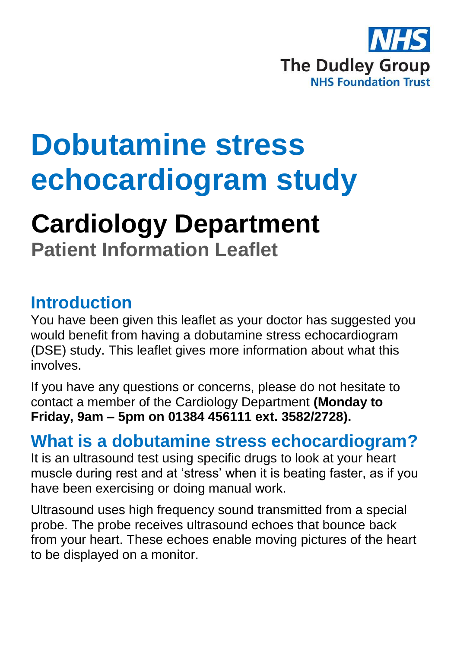

# **Dobutamine stress echocardiogram study**

## **Cardiology Department**

**Patient Information Leaflet**

#### **Introduction**

You have been given this leaflet as your doctor has suggested you would benefit from having a dobutamine stress echocardiogram (DSE) study. This leaflet gives more information about what this involves.

If you have any questions or concerns, please do not hesitate to contact a member of the Cardiology Department **(Monday to Friday, 9am – 5pm on 01384 456111 ext. 3582/2728).**

#### **What is a dobutamine stress echocardiogram?**

It is an ultrasound test using specific drugs to look at your heart muscle during rest and at 'stress' when it is beating faster, as if you have been exercising or doing manual work.

Ultrasound uses high frequency sound transmitted from a special probe. The probe receives ultrasound echoes that bounce back from your heart. These echoes enable moving pictures of the heart to be displayed on a monitor.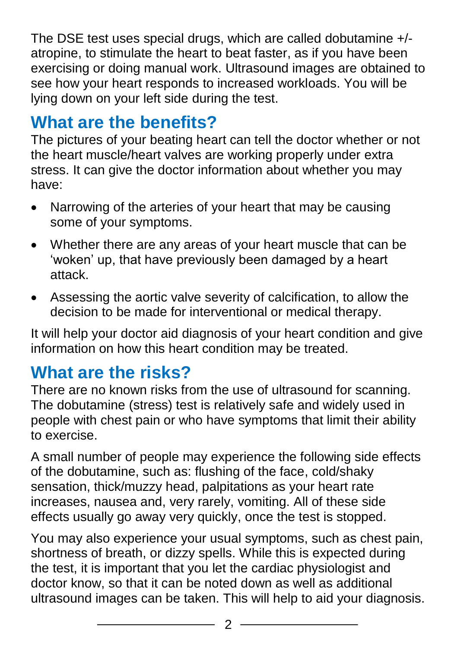The DSE test uses special drugs, which are called dobutamine +/ atropine, to stimulate the heart to beat faster, as if you have been exercising or doing manual work. Ultrasound images are obtained to see how your heart responds to increased workloads. You will be lying down on your left side during the test.

### **What are the benefits?**

The pictures of your beating heart can tell the doctor whether or not the heart muscle/heart valves are working properly under extra stress. It can give the doctor information about whether you may have:

- Narrowing of the arteries of your heart that may be causing some of your symptoms.
- Whether there are any areas of your heart muscle that can be 'woken' up, that have previously been damaged by a heart attack.
- Assessing the aortic valve severity of calcification, to allow the decision to be made for interventional or medical therapy.

It will help your doctor aid diagnosis of your heart condition and give information on how this heart condition may be treated.

#### **What are the risks?**

There are no known risks from the use of ultrasound for scanning. The dobutamine (stress) test is relatively safe and widely used in people with chest pain or who have symptoms that limit their ability to exercise.

A small number of people may experience the following side effects of the dobutamine, such as: flushing of the face, cold/shaky sensation, thick/muzzy head, palpitations as your heart rate increases, nausea and, very rarely, vomiting. All of these side effects usually go away very quickly, once the test is stopped.

You may also experience your usual symptoms, such as chest pain, shortness of breath, or dizzy spells. While this is expected during the test, it is important that you let the cardiac physiologist and doctor know, so that it can be noted down as well as additional ultrasound images can be taken. This will help to aid your diagnosis.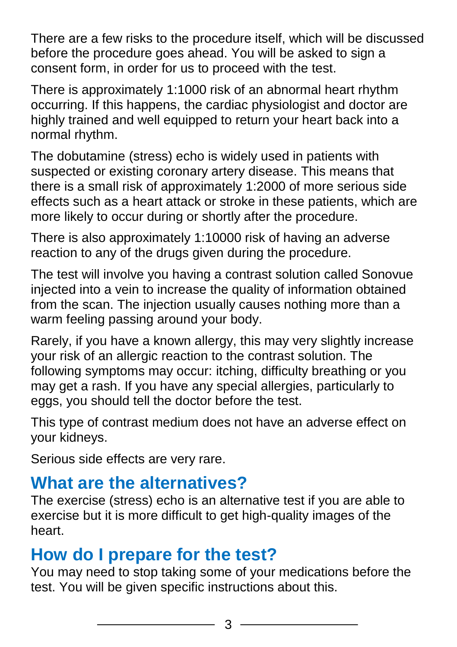There are a few risks to the procedure itself, which will be discussed before the procedure goes ahead. You will be asked to sign a consent form, in order for us to proceed with the test.

There is approximately 1:1000 risk of an abnormal heart rhythm occurring. If this happens, the cardiac physiologist and doctor are highly trained and well equipped to return your heart back into a normal rhythm.

The dobutamine (stress) echo is widely used in patients with suspected or existing coronary artery disease. This means that there is a small risk of approximately 1:2000 of more serious side effects such as a heart attack or stroke in these patients, which are more likely to occur during or shortly after the procedure.

There is also approximately 1:10000 risk of having an adverse reaction to any of the drugs given during the procedure.

The test will involve you having a contrast solution called Sonovue injected into a vein to increase the quality of information obtained from the scan. The injection usually causes nothing more than a warm feeling passing around your body.

Rarely, if you have a known allergy, this may very slightly increase your risk of an allergic reaction to the contrast solution. The following symptoms may occur: itching, difficulty breathing or you may get a rash. If you have any special allergies, particularly to eggs, you should tell the doctor before the test.

This type of contrast medium does not have an adverse effect on your kidneys.

Serious side effects are very rare.

#### **What are the alternatives?**

The exercise (stress) echo is an alternative test if you are able to exercise but it is more difficult to get high-quality images of the heart.

#### **How do I prepare for the test?**

You may need to stop taking some of your medications before the test. You will be given specific instructions about this.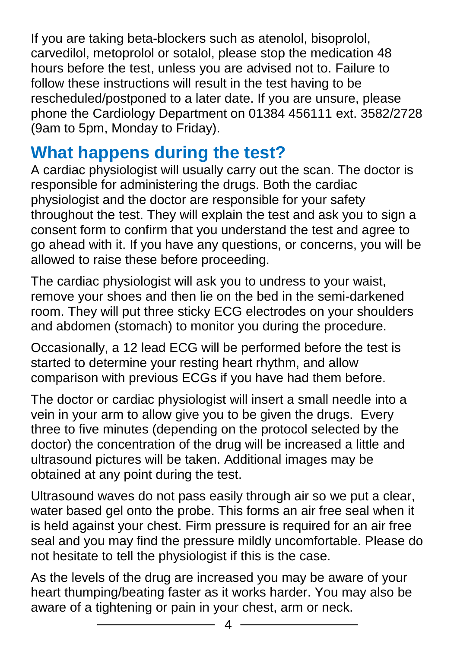If you are taking beta-blockers such as atenolol, bisoprolol, carvedilol, metoprolol or sotalol, please stop the medication 48 hours before the test, unless you are advised not to. Failure to follow these instructions will result in the test having to be rescheduled/postponed to a later date. If you are unsure, please phone the Cardiology Department on 01384 456111 ext. 3582/2728 (9am to 5pm, Monday to Friday).

#### **What happens during the test?**

A cardiac physiologist will usually carry out the scan. The doctor is responsible for administering the drugs. Both the cardiac physiologist and the doctor are responsible for your safety throughout the test. They will explain the test and ask you to sign a consent form to confirm that you understand the test and agree to go ahead with it. If you have any questions, or concerns, you will be allowed to raise these before proceeding.

The cardiac physiologist will ask you to undress to your waist, remove your shoes and then lie on the bed in the semi-darkened room. They will put three sticky ECG electrodes on your shoulders and abdomen (stomach) to monitor you during the procedure.

Occasionally, a 12 lead ECG will be performed before the test is started to determine your resting heart rhythm, and allow comparison with previous ECGs if you have had them before.

The doctor or cardiac physiologist will insert a small needle into a vein in your arm to allow give you to be given the drugs. Every three to five minutes (depending on the protocol selected by the doctor) the concentration of the drug will be increased a little and ultrasound pictures will be taken. Additional images may be obtained at any point during the test.

Ultrasound waves do not pass easily through air so we put a clear, water based gel onto the probe. This forms an air free seal when it is held against your chest. Firm pressure is required for an air free seal and you may find the pressure mildly uncomfortable. Please do not hesitate to tell the physiologist if this is the case.

As the levels of the drug are increased you may be aware of your heart thumping/beating faster as it works harder. You may also be aware of a tightening or pain in your chest, arm or neck.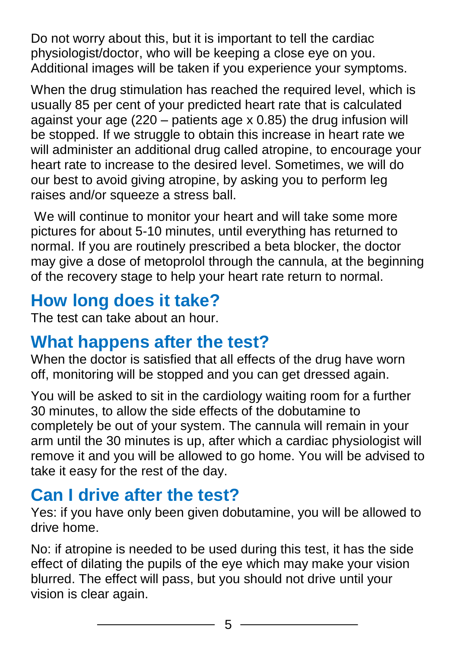Do not worry about this, but it is important to tell the cardiac physiologist/doctor, who will be keeping a close eye on you. Additional images will be taken if you experience your symptoms.

When the drug stimulation has reached the required level, which is usually 85 per cent of your predicted heart rate that is calculated against your age (220 – patients age x 0.85) the drug infusion will be stopped. If we struggle to obtain this increase in heart rate we will administer an additional drug called atropine, to encourage your heart rate to increase to the desired level. Sometimes, we will do our best to avoid giving atropine, by asking you to perform leg raises and/or squeeze a stress ball.

We will continue to monitor your heart and will take some more pictures for about 5-10 minutes, until everything has returned to normal. If you are routinely prescribed a beta blocker, the doctor may give a dose of metoprolol through the cannula, at the beginning of the recovery stage to help your heart rate return to normal.

### **How long does it take?**

The test can take about an hour.

#### **What happens after the test?**

When the doctor is satisfied that all effects of the drug have worn off, monitoring will be stopped and you can get dressed again.

You will be asked to sit in the cardiology waiting room for a further 30 minutes, to allow the side effects of the dobutamine to completely be out of your system. The cannula will remain in your arm until the 30 minutes is up, after which a cardiac physiologist will remove it and you will be allowed to go home. You will be advised to take it easy for the rest of the day.

#### **Can I drive after the test?**

Yes: if you have only been given dobutamine, you will be allowed to drive home.

No: if atropine is needed to be used during this test, it has the side effect of dilating the pupils of the eye which may make your vision blurred. The effect will pass, but you should not drive until your vision is clear again.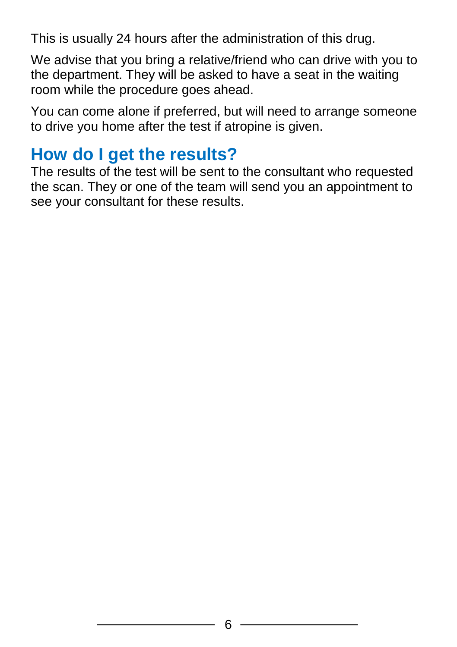This is usually 24 hours after the administration of this drug.

We advise that you bring a relative/friend who can drive with you to the department. They will be asked to have a seat in the waiting room while the procedure goes ahead.

You can come alone if preferred, but will need to arrange someone to drive you home after the test if atropine is given.

#### **How do I get the results?**

The results of the test will be sent to the consultant who requested the scan. They or one of the team will send you an appointment to see your consultant for these results.